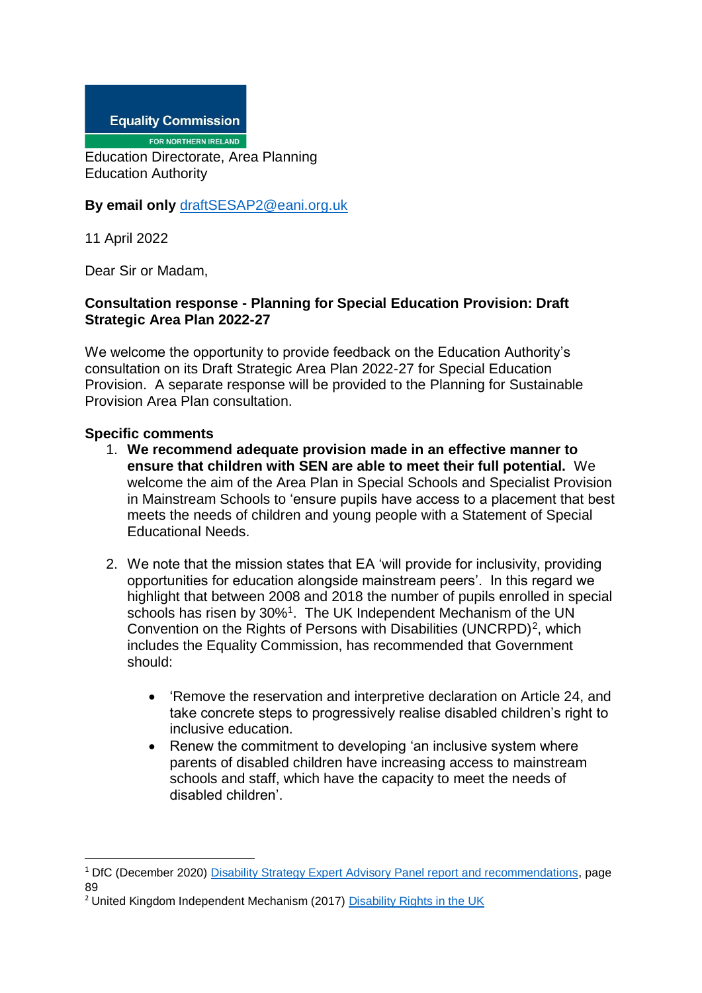**Equality Commission** 

FOR NORTHERN IRELAND

Education Directorate, Area Planning Education Authority

## **By email only** [draftSESAP2@eani.org.uk](mailto:draftSESAP2@eani.org.uk)

11 April 2022

Dear Sir or Madam,

## **Consultation response - Planning for Special Education Provision: Draft Strategic Area Plan 2022-27**

We welcome the opportunity to provide feedback on the Education Authority's consultation on its Draft Strategic Area Plan 2022-27 for Special Education Provision. A separate response will be provided to the Planning for Sustainable Provision Area Plan consultation.

## **Specific comments**

1

- 1. **We recommend adequate provision made in an effective manner to ensure that children with SEN are able to meet their full potential.** We welcome the aim of the Area Plan in Special Schools and Specialist Provision in Mainstream Schools to 'ensure pupils have access to a placement that best meets the needs of children and young people with a Statement of Special Educational Needs.
- 2. We note that the mission states that EA 'will provide for inclusivity, providing opportunities for education alongside mainstream peers'. In this regard we highlight that between 2008 and 2018 the number of pupils enrolled in special schools has risen by 30%<sup>1</sup>. The UK Independent Mechanism of the UN Convention on the Rights of Persons with Disabilities (UNCRPD)<sup>2</sup>, which includes the Equality Commission, has recommended that Government should:
	- 'Remove the reservation and interpretive declaration on Article 24, and take concrete steps to progressively realise disabled children's right to inclusive education.
	- Renew the commitment to developing 'an inclusive system where parents of disabled children have increasing access to mainstream schools and staff, which have the capacity to meet the needs of disabled children'.

<sup>&</sup>lt;sup>1</sup> DfC (December 2020) [Disability Strategy Expert Advisory Panel report and recommendations,](https://www.communities-ni.gov.uk/system/files/publications/communities/dfc-social-inclusion-strategy-disability-expert-advisory-panel-report.pdf) page 89

<sup>&</sup>lt;sup>2</sup> United Kingdom Independent Mechanism (2017) [Disability Rights in the UK](https://www.equalityhumanrights.com/sites/default/files/crpd-shadow-report-august-2017.pdf)